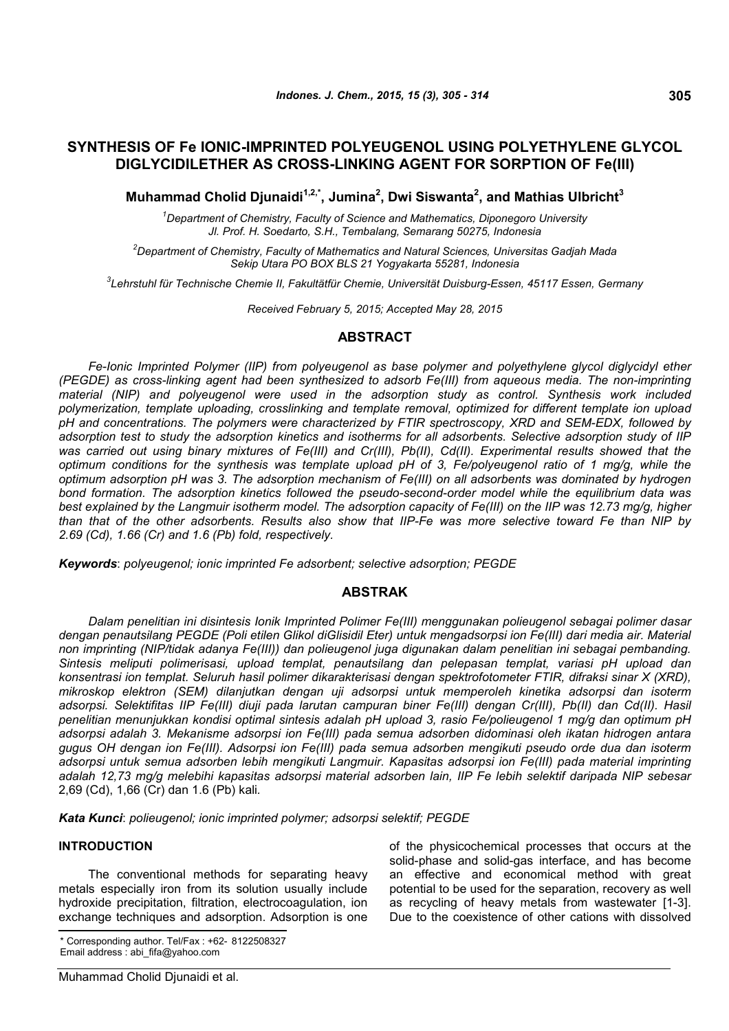# **SYNTHESIS OF Fe IONIC-IMPRINTED POLYEUGENOL USING POLYETHYLENE GLYCOL DIGLYCIDILETHER AS CROSS-LINKING AGENT FOR SORPTION OF Fe(III)**

**Muhammad Cholid Djunaidi1,2,\*, Jumina<sup>2</sup> , Dwi Siswanta<sup>2</sup> , and Mathias Ulbricht<sup>3</sup>**

*<sup>1</sup>Department of Chemistry, Faculty of Science and Mathematics, Diponegoro University Jl. Prof. H. Soedarto, S.H., Tembalang, Semarang 50275, Indonesia*

*<sup>2</sup>Department of Chemistry, Faculty of Mathematics and Natural Sciences, Universitas Gadjah Mada Sekip Utara PO BOX BLS 21 Yogyakarta 55281, Indonesia*

*3 Lehrstuhl für Technische Chemie II, Fakultätfür Chemie, Universität Duisburg-Essen, 45117 Essen, Germany*

*Received February 5, 2015; Accepted May 28, 2015*

## **ABSTRACT**

*Fe-Ionic Imprinted Polymer (IIP) from polyeugenol as base polymer and polyethylene glycol diglycidyl ether (PEGDE) as cross-linking agent had been synthesized to adsorb Fe(III) from aqueous media. The non-imprinting material (NIP) and polyeugenol were used in the adsorption study as control. Synthesis work included polymerization, template uploading, crosslinking and template removal, optimized for different template ion upload pH and concentrations. The polymers were characterized by FTIR spectroscopy, XRD and SEM-EDX, followed by adsorption test to study the adsorption kinetics and isotherms for all adsorbents. Selective adsorption study of IIP* was carried out using binary mixtures of Fe(III) and Cr(III), Pb(II), Cd(II). Experimental results showed that the *optimum conditions for the synthesis was template upload pH of 3, Fe/polyeugenol ratio of 1 mg/g, while the optimum adsorption pH was 3. The adsorption mechanism of Fe(III) on all adsorbents was dominated by hydrogen bond formation. The adsorption kinetics followed the pseudo-second-order model while the equilibrium data was best explained by the Langmuir isotherm model. The adsorption capacity of Fe(III) on the IIP was 12.73 mg/g, higher than that of the other adsorbents. Results also show that IIP-Fe was more selective toward Fe than NIP by 2.69 (Cd), 1.66 (Cr) and 1.6 (Pb) fold, respectively.*

*Keywords*: *polyeugenol; ionic imprinted Fe adsorbent; selective adsorption; PEGDE*

### **ABSTRAK**

*Dalam penelitian ini disintesis Ionik Imprinted Polimer Fe(III) menggunakan polieugenol sebagai polimer dasar dengan penautsilang PEGDE (Poli etilen Glikol diGlisidil Eter) untuk mengadsorpsi ion Fe(III) dari media air. Material non imprinting (NIP/tidak adanya Fe(III)) dan polieugenol juga digunakan dalam penelitian ini sebagai pembanding. Sintesis meliputi polimerisasi, upload templat, penautsilang dan pelepasan templat, variasi pH upload dan konsentrasi ion templat. Seluruh hasil polimer dikarakterisasi dengan spektrofotometer FTIR, difraksi sinar X (XRD), mikroskop elektron (SEM) dilanjutkan dengan uji adsorpsi untuk memperoleh kinetika adsorpsi dan isoterm adsorpsi. Selektifitas IIP Fe(III) diuji pada larutan campuran biner Fe(III) dengan Cr(III), Pb(II) dan Cd(II). Hasil penelitian menunjukkan kondisi optimal sintesis adalah pH upload 3, rasio Fe/polieugenol 1 mg/g dan optimum pH adsorpsi adalah 3. Mekanisme adsorpsi ion Fe(III) pada semua adsorben didominasi oleh ikatan hidrogen antara gugus OH dengan ion Fe(III). Adsorpsi ion Fe(III) pada semua adsorben mengikuti pseudo orde dua dan isoterm adsorpsi untuk semua adsorben lebih mengikuti Langmuir. Kapasitas adsorpsi ion Fe(III) pada material imprinting adalah 12,73 mg/g melebihi kapasitas adsorpsi material adsorben lain, IIP Fe lebih selektif daripada NIP sebesar* 2,69 (Cd), 1,66 (Cr) dan 1.6 (Pb) kali*.*

*Kata Kunci*: *polieugenol; ionic imprinted polymer; adsorpsi selektif; PEGDE*

### **INTRODUCTION**

The conventional methods for separating heavy metals especially iron from its solution usually include hydroxide precipitation, filtration, electrocoagulation, ion exchange techniques and adsorption. Adsorption is one

of the physicochemical processes that occurs at the solid-phase and solid-gas interface, and has become an effective and economical method with great potential to be used for the separation, recovery as well as recycling of heavy metals from wastewater [1-3]. Due to the coexistence of other cations with dissolved

<sup>\*</sup> Corresponding author. Tel/Fax : +62- 8122508327 Email address : abi\_fifa@yahoo.com

Muhammad Cholid Djunaidi et al.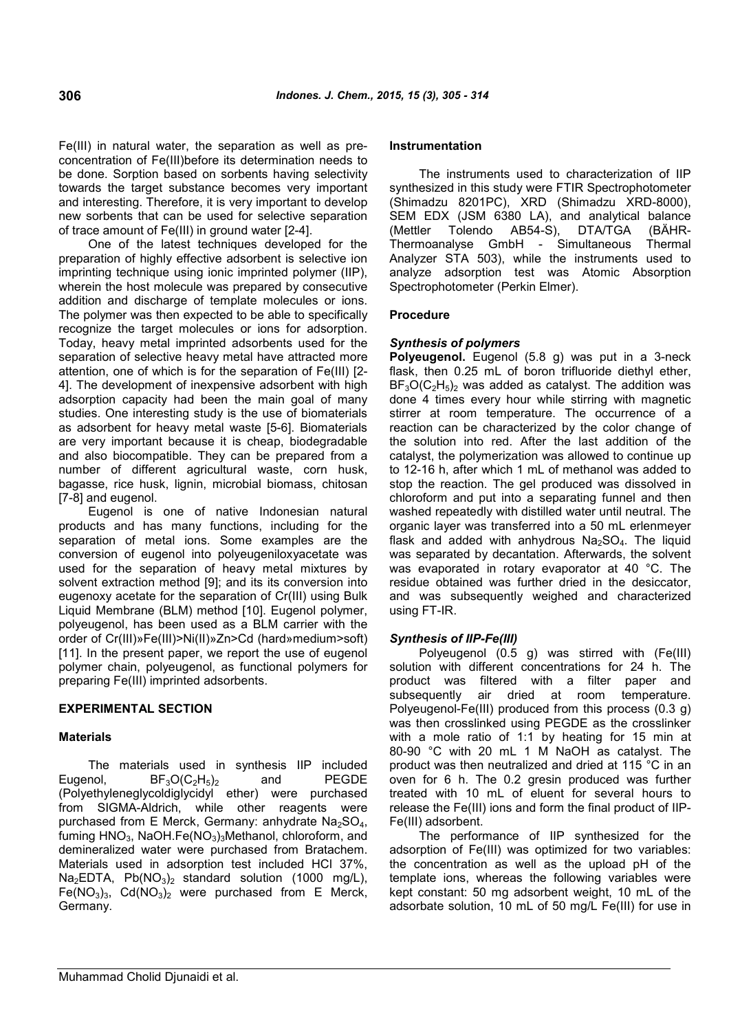Fe(III) in natural water, the separation as well as preconcentration of Fe(III)before its determination needs to be done. Sorption based on sorbents having selectivity towards the target substance becomes very important and interesting. Therefore, it is very important to develop new sorbents that can be used for selective separation of trace amount of Fe(III) in ground water [2-4].

One of the latest techniques developed for the preparation of highly effective adsorbent is selective ion imprinting technique using ionic imprinted polymer (IIP), wherein the host molecule was prepared by consecutive addition and discharge of template molecules or ions. The polymer was then expected to be able to specifically recognize the target molecules or ions for adsorption. Today, heavy metal imprinted adsorbents used for the separation of selective heavy metal have attracted more attention, one of which is for the separation of Fe(III) [2- 4]. The development of inexpensive adsorbent with high adsorption capacity had been the main goal of many studies. One interesting study is the use of biomaterials as adsorbent for heavy metal waste [5-6]. Biomaterials are very important because it is cheap, biodegradable and also biocompatible. They can be prepared from a number of different agricultural waste, corn husk, bagasse, rice husk, lignin, microbial biomass, chitosan [7-8] and eugenol.

Eugenol is one of native Indonesian natural products and has many functions, including for the separation of metal ions. Some examples are the conversion of eugenol into polyeugeniloxyacetate was used for the separation of heavy metal mixtures by solvent extraction method [9]; and its its conversion into eugenoxy acetate for the separation of Cr(III) using Bulk Liquid Membrane (BLM) method [10]. Eugenol polymer, polyeugenol, has been used as a BLM carrier with the order of Cr(III)»Fe(III)>Ni(II)»Zn>Cd (hard»medium>soft) [11]. In the present paper, we report the use of eugenol polymer chain, polyeugenol, as functional polymers for preparing Fe(III) imprinted adsorbents.

## **EXPERIMENTAL SECTION**

### **Materials**

The materials used in synthesis IIP included Eugenol,  $BF_3O(C_2H_5)_2$  and PEGDE (Polyethyleneglycoldiglycidyl ether) were purchased from SIGMA-Aldrich, while other reagents were purchased from E Merck, Germany: anhydrate  $Na<sub>2</sub>SO<sub>4</sub>$ , fuming HNO<sub>3</sub>, NaOH.Fe(NO<sub>3</sub>)<sub>3</sub>Methanol, chloroform, and demineralized water were purchased from Bratachem. Materials used in adsorption test included HCl 37%,  $Na<sub>2</sub>EDTA$ ,  $Pb(NO<sub>3</sub>)<sub>2</sub>$  standard solution (1000 mg/L),  $Fe(NO<sub>3</sub>)<sub>3</sub>$ , Cd(NO<sub>3</sub>)<sub>2</sub> were purchased from E Merck, Germany.

#### **Instrumentation**

The instruments used to characterization of IIP synthesized in this study were FTIR Spectrophotometer (Shimadzu 8201PC), XRD (Shimadzu XRD-8000), SEM EDX (JSM 6380 LA), and analytical balance (Mettler Tolendo AB54-S), DTA/TGA (BÄHR-Thermoanalyse GmbH - Simultaneous Thermal Analyzer STA 503), while the instruments used to analyze adsorption test was Atomic Absorption Spectrophotometer (Perkin Elmer).

### **Procedure**

### *Synthesis of polymers*

**Polyeugenol.** Eugenol (5.8 g) was put in a 3-neck flask, then 0.25 mL of boron trifluoride diethyl ether,  $BF<sub>3</sub>O(C<sub>2</sub>H<sub>5</sub>)$ , was added as catalyst. The addition was done 4 times every hour while stirring with magnetic stirrer at room temperature. The occurrence of a reaction can be characterized by the color change of the solution into red. After the last addition of the catalyst, the polymerization was allowed to continue up to 12-16 h, after which 1 mL of methanol was added to stop the reaction. The gel produced was dissolved in chloroform and put into a separating funnel and then washed repeatedly with distilled water until neutral. The organic layer was transferred into a 50 mL erlenmeyer flask and added with anhydrous  $Na<sub>2</sub>SO<sub>4</sub>$ . The liquid was separated by decantation. Afterwards, the solvent was evaporated in rotary evaporator at 40 °C. The residue obtained was further dried in the desiccator, and was subsequently weighed and characterized using FT-IR.

### *Synthesis of IIP-Fe(III)*

Polyeugenol (0.5 g) was stirred with (Fe(III) solution with different concentrations for 24 h. The product was filtered with a filter paper and subsequently air dried at room temperature. Polyeugenol-Fe(III) produced from this process (0.3 g) was then crosslinked using PEGDE as the crosslinker with a mole ratio of 1:1 by heating for 15 min at 80-90 °C with 20 mL 1 M NaOH as catalyst. The product was then neutralized and dried at 115 °C in an oven for 6 h. The 0.2 gresin produced was further treated with 10 mL of eluent for several hours to release the Fe(III) ions and form the final product of IIP-Fe(III) adsorbent.

The performance of IIP synthesized for the adsorption of Fe(III) was optimized for two variables: the concentration as well as the upload pH of the template ions, whereas the following variables were kept constant: 50 mg adsorbent weight, 10 mL of the adsorbate solution, 10 mL of 50 mg/L Fe(III) for use in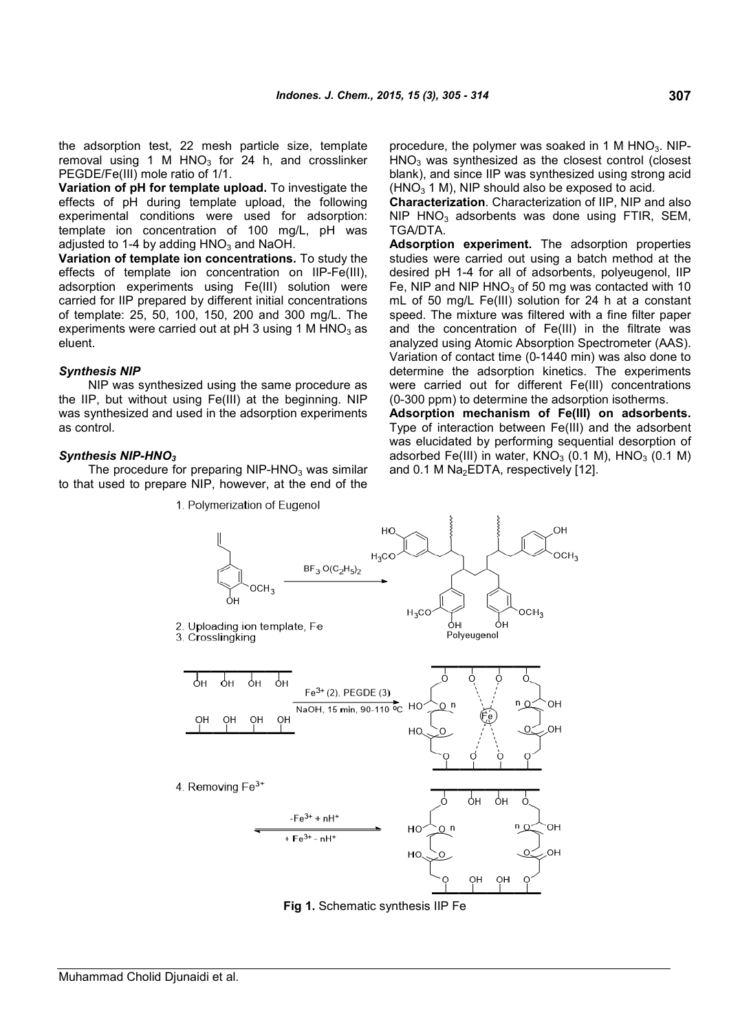the adsorption test, 22 mesh particle size, template removal using 1 M  $HNO<sub>3</sub>$  for 24 h, and crosslinker PEGDE/Fe(III) mole ratio of 1/1.

**Variation of pH for template upload.** To investigate the effects of pH during template upload, the following experimental conditions were used for adsorption: template ion concentration of 100 mg/L, pH was adiusted to 1-4 by adding  $HNO<sub>3</sub>$  and NaOH.

**Variation of template ion concentrations.** To study the effects of template ion concentration on IIP-Fe(III), adsorption experiments using Fe(III) solution were carried for IIP prepared by different initial concentrations of template: 25, 50, 100, 150, 200 and 300 mg/L. The experiments were carried out at  $pH$  3 using 1 M HNO<sub>3</sub> as eluent.

### *Synthesis NIP*

NIP was synthesized using the same procedure as the IIP, but without using Fe(III) at the beginning. NIP was synthesized and used in the adsorption experiments as control.

## *Synthesis NIP-HNO<sup>3</sup>*

The procedure for preparing  $NIP-HNO<sub>3</sub>$  was similar to that used to prepare NIP, however, at the end of the procedure, the polymer was soaked in 1 M  $HNO<sub>3</sub>$ . NIP- $HNO<sub>3</sub>$  was synthesized as the closest control (closest blank), and since IIP was synthesized using strong acid  $(HNO<sub>3</sub> 1 M)$ , NIP should also be exposed to acid.

**Characterization**. Characterization of IIP, NIP and also  $NIP$  HNO<sub>3</sub> adsorbents was done using FTIR, SEM, TGA/DTA.

**Adsorption experiment.** The adsorption properties studies were carried out using a batch method at the desired pH 1-4 for all of adsorbents, polyeugenol, IIP Fe, NIP and NIP  $HNO<sub>3</sub>$  of 50 mg was contacted with 10 mL of 50 mg/L Fe(III) solution for 24 h at a constant speed. The mixture was filtered with a fine filter paper and the concentration of Fe(III) in the filtrate was analyzed using Atomic Absorption Spectrometer (AAS). Variation of contact time (0-1440 min) was also done to determine the adsorption kinetics. The experiments were carried out for different Fe(III) concentrations (0-300 ppm) to determine the adsorption isotherms.

**Adsorption mechanism of Fe(III) on adsorbents.** Type of interaction between Fe(III) and the adsorbent was elucidated by performing sequential desorption of adsorbed Fe(III) in water,  $KNO<sub>3</sub>$  (0.1 M),  $HNO<sub>3</sub>$  (0.1 M) and  $0.1$  M Na<sub>2</sub>EDTA, respectively [12].



**Fig 1.** Schematic synthesis IIP Fe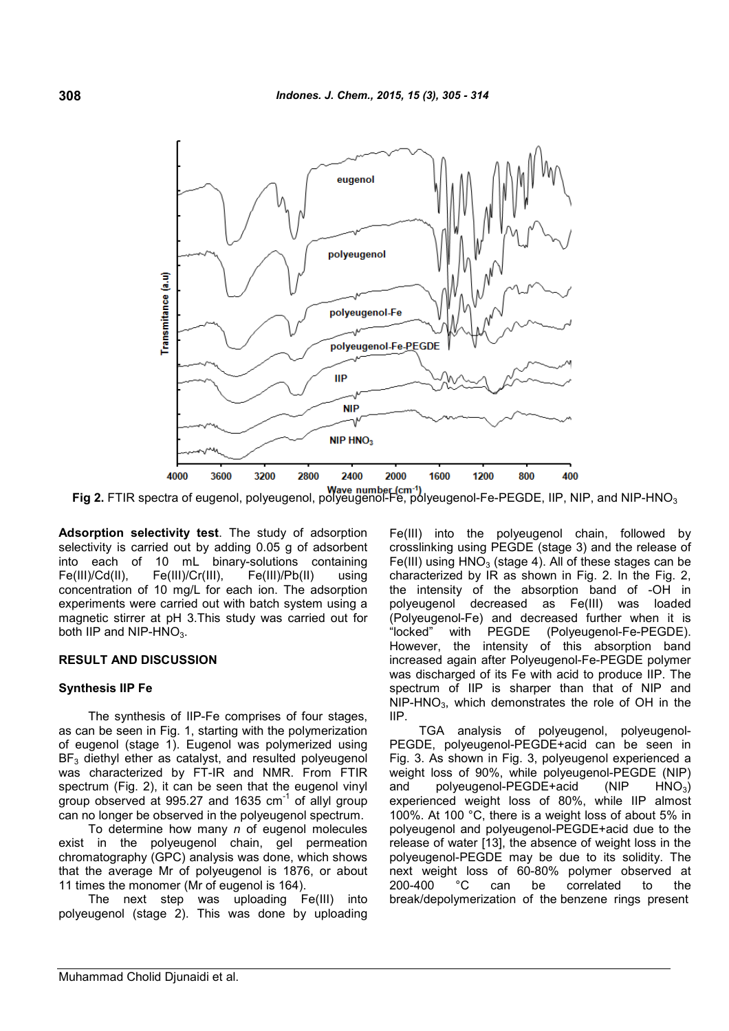

**Fig 2.** FTIR spectra of eugenol, polyeugenol, polyeugenol-Fe, polyeugenol-Fe-PEGDE, IIP, NIP, and NIP-HNO<sup>3</sup>

**Adsorption selectivity test**. The study of adsorption selectivity is carried out by adding 0.05 g of adsorbent into each of 10 mL binary-solutions containing Fe(III)/Cd(II), Fe(III)/Cr(III), Fe(III)/Pb(II) using concentration of 10 mg/L for each ion. The adsorption experiments were carried out with batch system using a magnetic stirrer at pH 3.This study was carried out for both IIP and  $NIP-HNO<sub>3</sub>$ .

### **RESULT AND DISCUSSION**

### **Synthesis IIP Fe**

The synthesis of IIP-Fe comprises of four stages, as can be seen in Fig. 1, starting with the polymerization of eugenol (stage 1). Eugenol was polymerized using  $BF<sub>3</sub>$  diethyl ether as catalyst, and resulted polyeugenol was characterized by FT-IR and NMR. From FTIR spectrum (Fig. 2), it can be seen that the eugenol vinyl group observed at 995.27 and 1635  $cm^{-1}$  of allyl group can no longer be observed in the polyeugenol spectrum.

To determine how many *n* of eugenol molecules exist in the polyeugenol chain, gel permeation chromatography (GPC) analysis was done, which shows that the average Mr of polyeugenol is 1876, or about 11 times the monomer (Mr of eugenol is 164).

The next step was uploading Fe(III) into polyeugenol (stage 2). This was done by uploading Fe(III) into the polyeugenol chain, followed by crosslinking using PEGDE (stage 3) and the release of Fe(III) using  $HNO<sub>3</sub>$  (stage 4). All of these stages can be characterized by IR as shown in Fig. 2. In the Fig. 2, the intensity of the absorption band of -OH in polyeugenol decreased as Fe(III) was loaded (Polyeugenol-Fe) and decreased further when it is "locked" with PEGDE (Polyeugenol-Fe-PEGDE). However, the intensity of this absorption band increased again after Polyeugenol-Fe-PEGDE polymer was discharged of its Fe with acid to produce IIP. The spectrum of IIP is sharper than that of NIP and NIP-HNO3, which demonstrates the role of OH in the IIP.

TGA analysis of polyeugenol, polyeugenol-PEGDE, polyeugenol-PEGDE+acid can be seen in Fig. 3. As shown in Fig. 3, polyeugenol experienced a weight loss of 90%, while polyeugenol-PEGDE (NIP) and polyeugenol-PEGDE+acid (NIP HNO<sub>3</sub>) experienced weight loss of 80%, while IIP almost 100%. At 100 °C, there is a weight loss of about 5% in polyeugenol and polyeugenol-PEGDE+acid due to the release of water [13], the absence of weight loss in the polyeugenol-PEGDE may be due to its solidity. The next weight loss of 60-80% polymer observed at <br>200-400 °C can be correlated to the 200-400 °C can be correlated to the break/depolymerization of the benzene rings present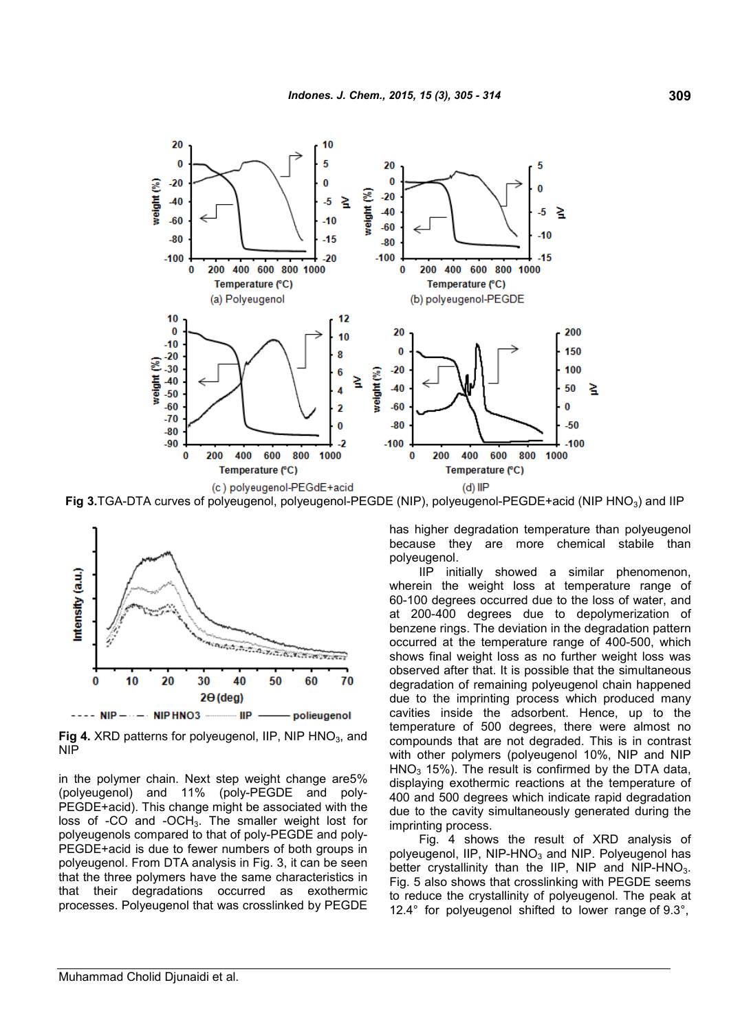

Fig 3.TGA-DTA curves of polyeugenol, polyeugenol-PEGDE (NIP), polyeugenol-PEGDE+acid (NIP HNO<sub>3</sub>) and IIP



**Fig 4.** XRD patterns for polyeugenol, IIP, NIP HNO<sub>3</sub>, and NIP

in the polymer chain. Next step weight change are5% (polyeugenol) and 11% (poly-PEGDE and poly-PEGDE+acid). This change might be associated with the loss of  $-CO$  and  $-CCH<sub>3</sub>$ . The smaller weight lost for polyeugenols compared to that of poly-PEGDE and poly-PEGDE+acid is due to fewer numbers of both groups in polyeugenol. From DTA analysis in Fig. 3, it can be seen that the three polymers have the same characteristics in that their degradations occurred as exothermic processes. Polyeugenol that was crosslinked by PEGDE

has higher degradation temperature than polyeugenol because they are more chemical stabile than polyeugenol.

IIP initially showed a similar phenomenon, wherein the weight loss at temperature range of 60-100 degrees occurred due to the loss of water, and at 200-400 degrees due to depolymerization of benzene rings. The deviation in the degradation pattern occurred at the temperature range of 400-500, which shows final weight loss as no further weight loss was observed after that. It is possible that the simultaneous degradation of remaining polyeugenol chain happened due to the imprinting process which produced many cavities inside the adsorbent. Hence, up to the temperature of 500 degrees, there were almost no compounds that are not degraded. This is in contrast with other polymers (polyeugenol 10%, NIP and NIP  $HNO<sub>3</sub>$  15%). The result is confirmed by the DTA data, displaying exothermic reactions at the temperature of 400 and 500 degrees which indicate rapid degradation due to the cavity simultaneously generated during the imprinting process.

Fig. 4 shows the result of XRD analysis of polyeugenol,  $IIP$ ,  $NIP-HNO<sub>3</sub>$  and  $NIP$ . Polyeugenol has better crystallinity than the IIP, NIP and NIP-HNO<sub>3</sub>. Fig. 5 also shows that crosslinking with PEGDE seems to reduce the crystallinity of polyeugenol. The peak at 12.4° for polyeugenol shifted to lower range of 9.3°,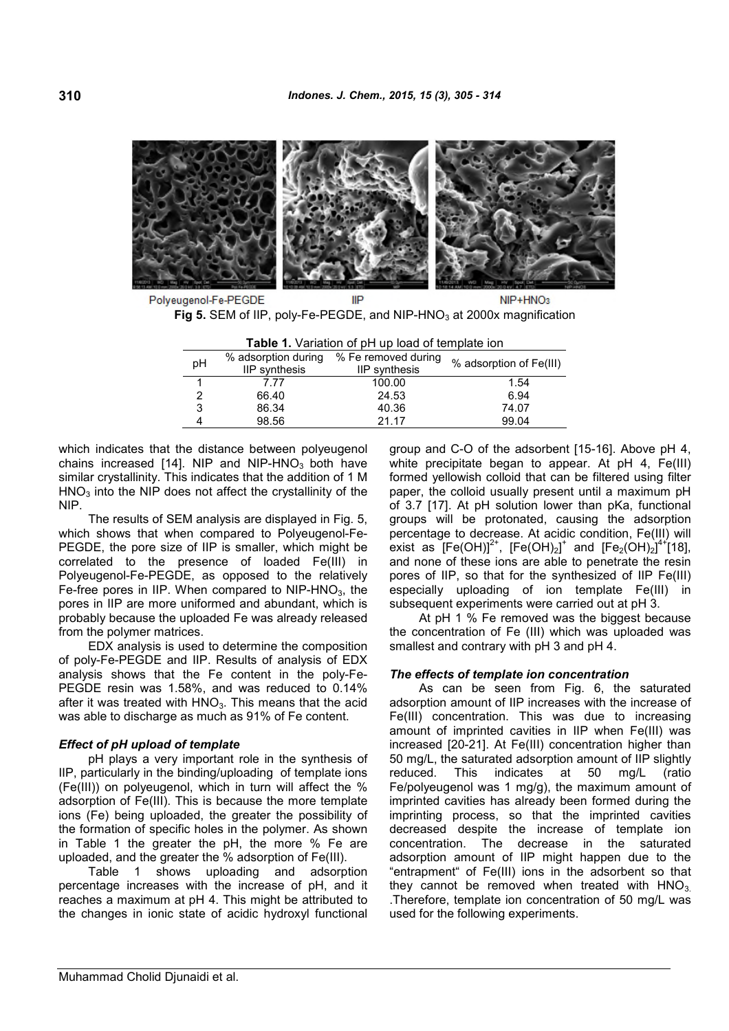

Polyeugenol-Fe-PEGDE IIP NIP+HNO3 **Fig 5.** SEM of IIP, poly-Fe-PEGDE, and NIP-HNO<sub>3</sub> at 2000x magnification

| <b>. WATER IT TO THE THE PLAN THE TOUR OF THE STATE IN THE STATE</b> |                                      |                                      |                         |  |  |  |
|----------------------------------------------------------------------|--------------------------------------|--------------------------------------|-------------------------|--|--|--|
| рH                                                                   | % adsorption during<br>IIP synthesis | % Fe removed during<br>IIP synthesis | % adsorption of Fe(III) |  |  |  |
|                                                                      | 7.77                                 | 100.00                               | 1.54                    |  |  |  |
| $\mathcal{P}$                                                        | 66.40                                | 24.53                                | 6.94                    |  |  |  |
| 3                                                                    | 86.34                                | 40.36                                | 74.07                   |  |  |  |
|                                                                      | 98.56                                | 21 17                                | 99.04                   |  |  |  |
|                                                                      |                                      |                                      |                         |  |  |  |

| <b>Table 1.</b> Variation of pH up load of template ion |
|---------------------------------------------------------|
|                                                         |

which indicates that the distance between polyeugenol chains increased  $[14]$ . NIP and NIP-HNO<sub>3</sub> both have similar crystallinity. This indicates that the addition of 1 M  $HNO<sub>3</sub>$  into the NIP does not affect the crystallinity of the NIP.

The results of SEM analysis are displayed in Fig. 5, which shows that when compared to Polyeugenol-Fe-PEGDE, the pore size of IIP is smaller, which might be correlated to the presence of loaded Fe(III) in Polyeugenol-Fe-PEGDE, as opposed to the relatively Fe-free pores in IIP. When compared to  $NIP-HNO<sub>3</sub>$ , the pores in IIP are more uniformed and abundant, which is probably because the uploaded Fe was already released from the polymer matrices.

EDX analysis is used to determine the composition of poly-Fe-PEGDE and IIP. Results of analysis of EDX analysis shows that the Fe content in the poly-Fe-PEGDE resin was 1.58%, and was reduced to 0.14% after it was treated with  $HNO<sub>3</sub>$ . This means that the acid was able to discharge as much as 91% of Fe content.

### *Effect of pH upload of template*

pH plays a very important role in the synthesis of IIP, particularly in the binding/uploading of template ions (Fe(III)) on polyeugenol, which in turn will affect the % adsorption of Fe(III). This is because the more template ions (Fe) being uploaded, the greater the possibility of the formation of specific holes in the polymer. As shown in Table 1 the greater the pH, the more % Fe are uploaded, and the greater the % adsorption of Fe(III).

Table 1 shows uploading and adsorption percentage increases with the increase of pH, and it reaches a maximum at pH 4. This might be attributed to the changes in ionic state of acidic hydroxyl functional

group and C-O of the adsorbent [15-16]. Above pH 4, white precipitate began to appear. At pH 4, Fe(III) formed yellowish colloid that can be filtered using filter paper, the colloid usually present until a maximum pH of 3.7 [17]. At pH solution lower than pKa, functional groups will be protonated, causing the adsorption percentage to decrease. At acidic condition, Fe(III) will exist as  $[{\sf Fe}({\sf OH})]^{2+}$ ,  $[{\sf Fe}({\sf OH})_2]^+$  and  $[{\sf Fe}_2({\sf OH})_2]^4{}^4[18]$ , and none of these ions are able to penetrate the resin pores of IIP, so that for the synthesized of IIP Fe(III) especially uploading of ion template Fe(III) in subsequent experiments were carried out at pH 3.

At pH 1 % Fe removed was the biggest because the concentration of Fe (III) which was uploaded was smallest and contrary with pH 3 and pH 4.

### *The effects of template ion concentration*

As can be seen from Fig. 6, the saturated adsorption amount of IIP increases with the increase of Fe(III) concentration. This was due to increasing amount of imprinted cavities in IIP when Fe(III) was increased [20-21]. At Fe(III) concentration higher than 50 mg/L, the saturated adsorption amount of IIP slightly reduced. This indicates at 50 mg/L (ratio Fe/polyeugenol was 1 mg/g), the maximum amount of imprinted cavities has already been formed during the imprinting process, so that the imprinted cavities decreased despite the increase of template ion concentration. The decrease in the saturated adsorption amount of IIP might happen due to the "entrapment" of Fe(III) ions in the adsorbent so that they cannot be removed when treated with  $HNO<sub>3</sub>$ . .Therefore, template ion concentration of 50 mg/L was used for the following experiments.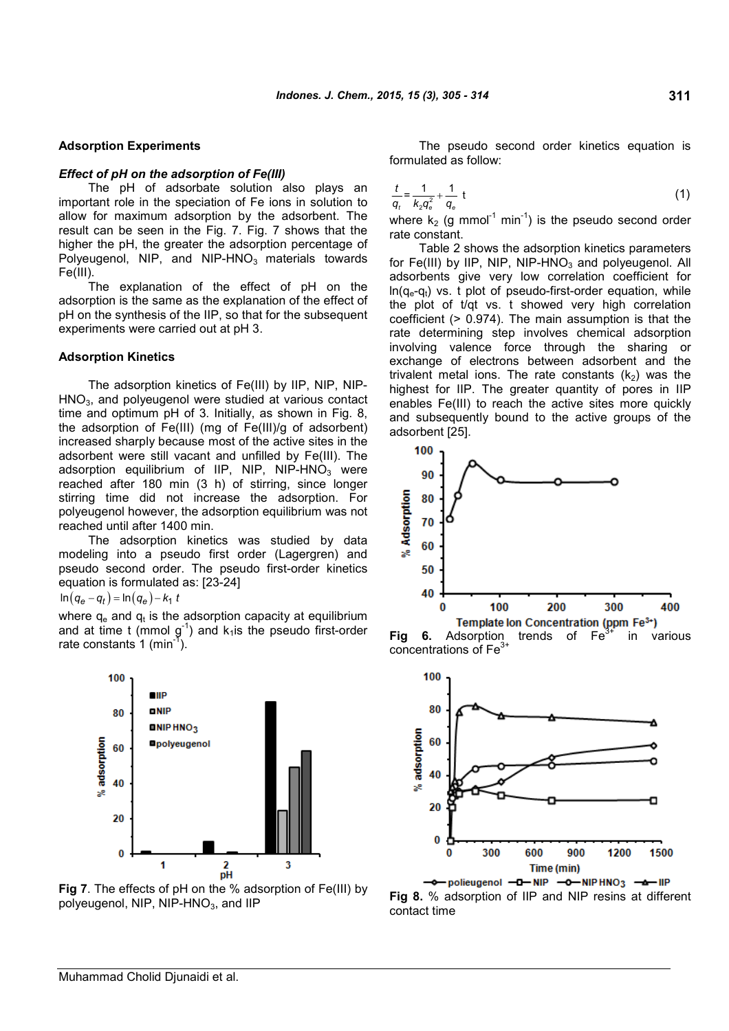#### **Adsorption Experiments**

#### *Effect of pH on the adsorption of Fe(III)*

The pH of adsorbate solution also plays an important role in the speciation of Fe ions in solution to allow for maximum adsorption by the adsorbent. The result can be seen in the Fig. 7. Fig. 7 shows that the higher the pH, the greater the adsorption percentage of Polyeugenol, NIP, and NIP-HNO $_3$  materials towards Fe(III).

The explanation of the effect of pH on the adsorption is the same as the explanation of the effect of pH on the synthesis of the IIP, so that for the subsequent experiments were carried out at pH 3.

#### **Adsorption Kinetics**

The adsorption kinetics of Fe(III) by IIP, NIP, NIP-HNO3, and polyeugenol were studied at various contact time and optimum pH of 3. Initially, as shown in Fig. 8, the adsorption of Fe(III) (mg of Fe(III)/g of adsorbent) increased sharply because most of the active sites in the adsorbent were still vacant and unfilled by Fe(III). The adsorption equilibrium of IIP, NIP, NIP-HNO $_3$  were reached after 180 min (3 h) of stirring, since longer stirring time did not increase the adsorption. For polyeugenol however, the adsorption equilibrium was not reached until after 1400 min.

The adsorption kinetics was studied by data modeling into a pseudo first order (Lagergren) and pseudo second order. The pseudo first-order kinetics equation is formulated as: [23-24]

 $\ln\left(q_{\bm e}-q_t\right)$  =  $\ln\left(q_{\bm e}\right)$   $k_1$  t

where  $\mathsf{q}_{\mathsf{e}}$  and  $\mathsf{q}_{\mathsf{t}}$  is the adsorption capacity at equilibrium and at time t (mmol  $g^{-1}$ ) and  $k_1$  is the pseudo first-order rate constants  $1$  (min<sup>-1</sup>).



**Fig 7**. The effects of pH on the % adsorption of Fe(III) by **Fig 8.** % adsorption of IIP and NIP resins at different polyeugenol, NIP, NIP-HNO<sub>3</sub>, and IIP

The pseudo second order kinetics equation is formulated as follow:

$$
\frac{t}{q_t} = \frac{1}{k_2 q_e^2} + \frac{1}{q_e} \tag{1}
$$

where  $k_2$  (g mmol<sup>-1</sup> min<sup>-1</sup>) is the pseudo second order rate constant.

Table 2 shows the adsorption kinetics parameters for Fe(III) by IIP, NIP, NIP-HNO<sub>3</sub> and polyeugenol. All adsorbents give very low correlation coefficient for  $ln(q_e-q_t)$  vs. t plot of pseudo-first-order equation, while the plot of t/qt vs. t showed very high correlation coefficient (> 0.974). The main assumption is that the rate determining step involves chemical adsorption involving valence force through the sharing or exchange of electrons between adsorbent and the trivalent metal ions. The rate constants  $(k_2)$  was the highest for IIP. The greater quantity of pores in IIP enables Fe(III) to reach the active sites more quickly and subsequently bound to the active groups of the adsorbent [25].



**Fig 6.** Adsorption trends of Fe<sup>3+</sup> in various<br>**Fig 6.** Adsorption trends of Fe<sup>3+</sup> in various concentrations of Fe<sup>3+</sup>



-+ policugenol -D-NIP -0-NIPHNO3 -+ IIP contact time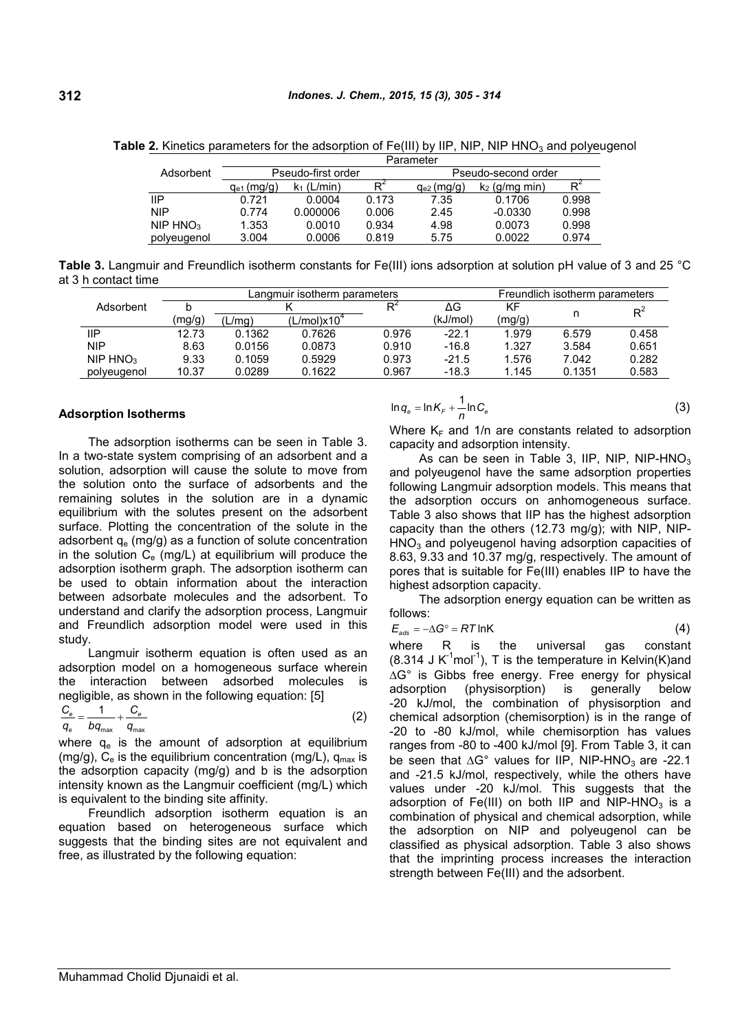**Table 2.** Kinetics parameters for the adsorption of Fe(III) by IIP, NIP, NIP HNO<sub>3</sub> and polyeugenol

|             | Parameter          |                |       |                     |                 |                |  |
|-------------|--------------------|----------------|-------|---------------------|-----------------|----------------|--|
| Adsorbent   | Pseudo-first order |                |       | Pseudo-second order |                 |                |  |
|             | $q_{e1}$ (mg/g)    | (L/min)<br>K1. | $R^2$ | $q_{e2}$ (mg/g)     | $K2$ (g/mg min) | R <sup>2</sup> |  |
| IIP         | 0.721              | 0.0004         | 0.173 | 7.35                | 0.1706          | 0.998          |  |
| <b>NIP</b>  | 0.774              | 0.000006       | 0.006 | 2.45                | $-0.0330$       | 0.998          |  |
| NIP $HNO3$  | 1.353              | 0.0010         | 0.934 | 4.98                | 0.0073          | 0.998          |  |
| polyeugenol | 3.004              | 0.0006         | 0.819 | 5.75                | 0.0022          | 0.974          |  |

**Table 3.** Langmuir and Freundlich isotherm constants for Fe(III) ions adsorption at solution pH value of 3 and 25 °C at 3 h contact time

|                      | ∟anɑmuir isotherm parameters_ |        |                         |       | Freundlich isotherm parameters |        |        |       |
|----------------------|-------------------------------|--------|-------------------------|-------|--------------------------------|--------|--------|-------|
| Adsorbent            |                               |        |                         |       | ΔG                             | ΚF     |        | $R^2$ |
|                      | (mg/g)                        | (L/mg) | (L/mol)x10 <sup>4</sup> |       | (kJ/mol)                       | (mg/g) |        |       |
| ΙIΡ                  | 12.73                         | 0.1362 | 0.7626                  | 0.976 | $-22.1$                        | 1.979  | 6.579  | 0.458 |
| <b>NIP</b>           | 8.63                          | 0.0156 | 0.0873                  | 0.910 | $-16.8$                        | 1.327  | 3.584  | 0.651 |
| NIP HNO <sub>3</sub> | 9.33                          | 0.1059 | 0.5929                  | 0.973 | $-21.5$                        | 1.576  | 7.042  | 0.282 |
| polveugenol          | 10.37                         | 0.0289 | 0.1622                  | 0.967 | $-18.3$                        | 1.145  | 0.1351 | 0.583 |
|                      |                               |        |                         |       |                                |        |        |       |

#### **Adsorption Isotherms**

The adsorption isotherms can be seen in Table 3. In a two-state system comprising of an adsorbent and a solution, adsorption will cause the solute to move from the solution onto the surface of adsorbents and the remaining solutes in the solution are in a dynamic equilibrium with the solutes present on the adsorbent surface. Plotting the concentration of the solute in the adsorbent  $q_e$  (mg/g) as a function of solute concentration in the solution  $C_e$  (mg/L) at equilibrium will produce the adsorption isotherm graph. The adsorption isotherm can be used to obtain information about the interaction between adsorbate molecules and the adsorbent. To understand and clarify the adsorption process, Langmuir and Freundlich adsorption model were used in this study.

Langmuir isotherm equation is often used as an adsorption model on a homogeneous surface wherein the interaction between adsorbed molecules is  $\frac{\Delta G}{dS}$  is  $\frac{G}{dS}$ negligible, as shown in the following equation: [5]

$$
\frac{C_e}{q_e} = \frac{1}{b q_{\text{max}}} + \frac{C_e}{q_{\text{max}}}
$$
 (2)

where  $q_e$  is the amount of adsorption at equilibrium (mg/g),  $C_e$  is the equilibrium concentration (mg/L),  $q_{max}$  is the adsorption capacity (mg/g) and b is the adsorption intensity known as the Langmuir coefficient (mg/L) which is equivalent to the binding site affinity.

Freundlich adsorption isotherm equation is an equation based on heterogeneous surface which suggests that the binding sites are not equivalent and free, as illustrated by the following equation:

$$
\ln q_e = \ln K_F + \frac{1}{n} \ln C_e \tag{3}
$$

Where  $K_F$  and 1/n are constants related to adsorption capacity and adsorption intensity.

As can be seen in Table 3, IIP, NIP, NIP-HNO<sub>3</sub> and polyeugenol have the same adsorption properties following Langmuir adsorption models. This means that the adsorption occurs on anhomogeneous surface. Table 3 also shows that IIP has the highest adsorption capacity than the others (12.73 mg/g); with NIP, NIP- $HNO<sub>3</sub>$  and polyeugenol having adsorption capacities of 8.63, 9.33 and 10.37 mg/g, respectively. The amount of pores that is suitable for Fe(III) enables IIP to have the highest adsorption capacity.

The adsorption energy equation can be written as follows:

$$
E_{\text{ads}} = -\Delta G^{\circ} = RT \ln K \tag{4}
$$

where R is the universal gas constant  $(8.314 \text{ J K}^{-1} \text{mol}^{-1})$ , T is the temperature in Kelvin(K)and AG° is Gibbs free energy. Free energy for physical (physisorption) is generally below -20 kJ/mol, the combination of physisorption and chemical adsorption (chemisorption) is in the range of -20 to -80 kJ/mol, while chemisorption has values ranges from -80 to -400 kJ/mol [9]. From Table 3, it can be seen that  $\Delta G^{\circ}$  values for IIP, NIP-HNO<sub>3</sub> are -22.1 and -21.5 kJ/mol, respectively, while the others have values under -20 kJ/mol. This suggests that the adsorption of Fe(III) on both IIP and NIP-HNO<sub>3</sub> is a combination of physical and chemical adsorption, while the adsorption on NIP and polyeugenol can be classified as physical adsorption. Table 3 also shows that the imprinting process increases the interaction strength between Fe(III) and the adsorbent.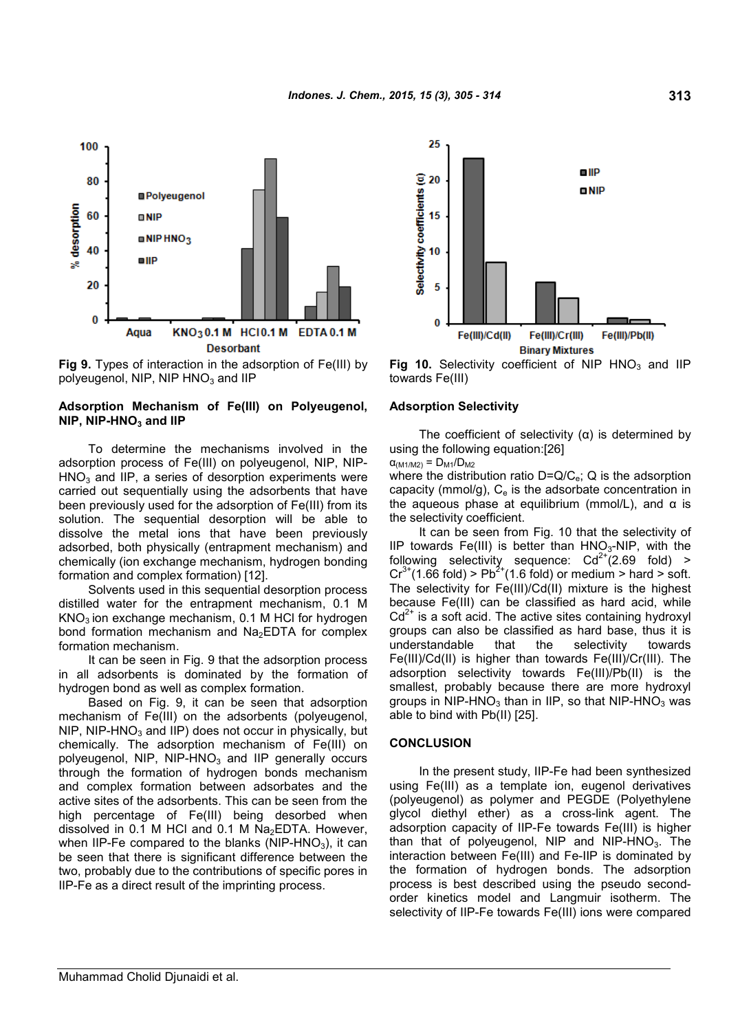

**Fig 9.** Types of interaction in the adsorption of Fe(III) by polyeugenol, NIP, NIP  $HNO<sub>3</sub>$  and IIP

### **Adsorption Mechanism of Fe(III) on Polyeugenol, NIP, NIP-HNO<sup>3</sup> and IIP**

To determine the mechanisms involved in the adsorption process of Fe(III) on polyeugenol, NIP, NIP- $HNO<sub>3</sub>$  and IIP, a series of desorption experiments were carried out sequentially using the adsorbents that have been previously used for the adsorption of Fe(III) from its solution. The sequential desorption will be able to dissolve the metal ions that have been previously adsorbed, both physically (entrapment mechanism) and chemically (ion exchange mechanism, hydrogen bonding formation and complex formation) [12].

Solvents used in this sequential desorption process distilled water for the entrapment mechanism, 0.1 M  $KNO<sub>3</sub>$  ion exchange mechanism, 0.1 M HCl for hydrogen bond formation mechanism and  $Na<sub>2</sub>EDTA$  for complex formation mechanism.

It can be seen in Fig. 9 that the adsorption process in all adsorbents is dominated by the formation of hydrogen bond as well as complex formation.

Based on Fig. 9, it can be seen that adsorption mechanism of Fe(III) on the adsorbents (polyeugenol, NIP, NIP-HNO $_3$  and IIP) does not occur in physically, but chemically. The adsorption mechanism of Fe(III) on polyeugenol, NIP,  $NIP$ -HNO<sub>3</sub> and IIP generally occurs through the formation of hydrogen bonds mechanism and complex formation between adsorbates and the active sites of the adsorbents. This can be seen from the high percentage of Fe(III) being desorbed when dissolved in 0.1 M HCl and 0.1 M  $Na<sub>2</sub>EDTA$ . However, when IIP-Fe compared to the blanks (NIP-HNO<sub>3</sub>), it can be seen that there is significant difference between the two, probably due to the contributions of specific pores in IIP-Fe as a direct result of the imprinting process.



**Fig 10.** Selectivity coefficient of NIP  $HNO<sub>3</sub>$  and IIP towards Fe(III)

#### **Adsorption Selectivity**

The coefficient of selectivity  $(a)$  is determined by using the following equation:[26]  $\alpha_{(M1/M2)} = D_{M1}/D_{M2}$ 

where the distribution ratio  $D=Q/C_e$ ; Q is the adsorption capacity (mmol/g),  $C_e$  is the adsorbate concentration in the aqueous phase at equilibrium (mmol/L), and  $α$  is the selectivity coefficient.

It can be seen from Fig. 10 that the selectivity of IIP towards Fe(III) is better than  $HNO<sub>3</sub>-NIP$ , with the following selectivity sequence:  $Cd^{2+}(2.69 \text{ fold})$  >  $Cr^{3+}(1.66 \text{ fold})$  > Pb<sup>2+</sup>(1.6 fold) or medium > hard > soft. The selectivity for Fe(III)/Cd(II) mixture is the highest because Fe(III) can be classified as hard acid, while  $Cd<sup>2+</sup>$  is a soft acid. The active sites containing hydroxyl groups can also be classified as hard base, thus it is understandable that the selectivity towards Fe(III)/Cd(II) is higher than towards Fe(III)/Cr(III). The adsorption selectivity towards Fe(III)/Pb(II) is the smallest, probably because there are more hydroxyl groups in NIP-HNO<sub>3</sub> than in IIP, so that NIP-HNO<sub>3</sub> was able to bind with Pb(II) [25].

#### **CONCLUSION**

In the present study, IIP-Fe had been synthesized using Fe(III) as a template ion, eugenol derivatives (polyeugenol) as polymer and PEGDE (Polyethylene glycol diethyl ether) as a cross-link agent. The adsorption capacity of IIP-Fe towards Fe(III) is higher than that of polyeugenol, NIP and NIP-HNO<sub>3</sub>. The interaction between Fe(III) and Fe-IIP is dominated by the formation of hydrogen bonds. The adsorption process is best described using the pseudo secondorder kinetics model and Langmuir isotherm. The selectivity of IIP-Fe towards Fe(III) ions were compared

Muhammad Cholid Djunaidi et al.